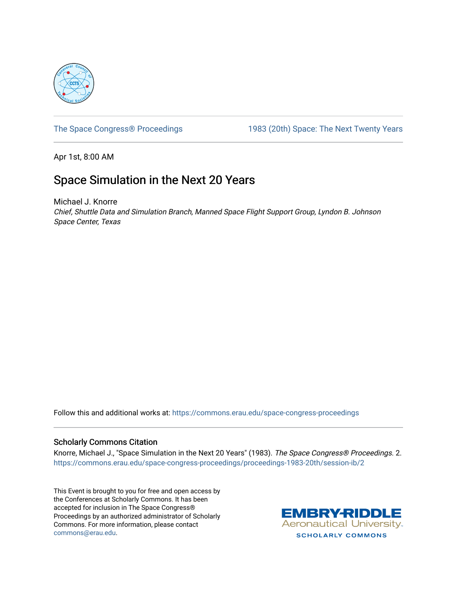

[The Space Congress® Proceedings](https://commons.erau.edu/space-congress-proceedings) 1983 (20th) Space: The Next Twenty Years

Apr 1st, 8:00 AM

# Space Simulation in the Next 20 Years

Michael J. Knorre Chief, Shuttle Data and Simulation Branch, Manned Space Flight Support Group, Lyndon B. Johnson Space Center, Texas

Follow this and additional works at: [https://commons.erau.edu/space-congress-proceedings](https://commons.erau.edu/space-congress-proceedings?utm_source=commons.erau.edu%2Fspace-congress-proceedings%2Fproceedings-1983-20th%2Fsession-ib%2F2&utm_medium=PDF&utm_campaign=PDFCoverPages)

# Scholarly Commons Citation

Knorre, Michael J., "Space Simulation in the Next 20 Years" (1983). The Space Congress® Proceedings. 2. [https://commons.erau.edu/space-congress-proceedings/proceedings-1983-20th/session-ib/2](https://commons.erau.edu/space-congress-proceedings/proceedings-1983-20th/session-ib/2?utm_source=commons.erau.edu%2Fspace-congress-proceedings%2Fproceedings-1983-20th%2Fsession-ib%2F2&utm_medium=PDF&utm_campaign=PDFCoverPages)

This Event is brought to you for free and open access by the Conferences at Scholarly Commons. It has been accepted for inclusion in The Space Congress® Proceedings by an authorized administrator of Scholarly Commons. For more information, please contact [commons@erau.edu](mailto:commons@erau.edu).

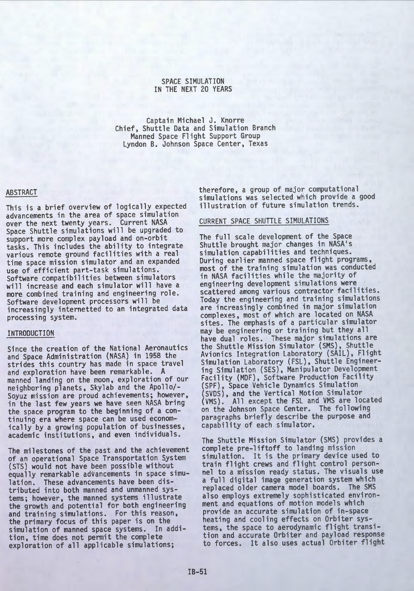#### SPACE SIMULATION IN THE NEXT 20 YEARS

Captain Michael J. Knorre Chief, Shuttle Data and Simulation Branch Manned Space Flight Support Group Lyndon B. Johnson Space Center, Texas

# ABSTRACT

This is a brief overview of logically expected advancements in the area of space simulation over the next twenty years. Current NASA Space Shuttle simulations will be upgraded to support more complex payload and on-orbit tasks. This includes the ability to integrate various remote ground facilities with a real time space mission simulator and an expanded use of efficient part-task simulations. Software compatibilities between simulators will increase and each simulator will have a more combined training and engineering role. Software development processors will be increasingly internetted to an integrated data processing system.

#### INTRODUCTION

Since the creation of the National Aeronautics and Space Administration (NASA) in 1958 the strides this country has made in space travel and exploration have been remarkable. <sup>A</sup>manned landing on the moon, exploration of our neighboring planets, Skylab and the Apollo/- Soyuz mission are proud achievements; however, in the last few years we have seen NASA bring the space program to the beginning of a con tinuing era where space can be used econom ically by a growing population of businesses, academic institutions, and even individuals.

The milestones of the past and the achievement of an operational Space Transportation System (STS) would not have been possible without equally remarkable advancements in space simu lation. These advancements have been dis tributed into both manned and unmanned sys tems; however, the manned systems illustrate the growth and potential for both engineering and training simulations. For this reason, the primary focus of this paper is on the simulation of manned space systems. In addi tion, time does not permit the complete exploration of all applicable simulations;

therefore, a group of major computational simulations was selected which provide a good illustration of future simulation trends.

#### CURRENT SPACE SHUTTLE SIMULATIONS

The full scale development of the Space Shuttle brought major changes in NASA's simulation capabilities and techniques. During earlier manned space flight programs, most of the training simulation was conducted in NASA facilities while the majority of scattered among various contractor facilities. Today the engineering and training simulations complexes, most of which are located on NASA<br>sites. The emphasis of a particular simulator may be engineering or training but they all have dual roles. These major simulations are the Shuttle Mission Simulator (SMS), Shuttle Avionics Integration Laboratory (SAIL), Flight Simulation Laboratory (FSL), Shuttle Engineering Simulation (SES), Manipulator Development Facility (MDF), Software Production Facility (SPF), Space Vehicle Dynamics Simulation (SVDS), and the Vertical Motion Simulator (VMS). All except the FSL and VMS are located on the Johnson Space Center. The following paragraphs briefly describe the purpose and capability of each simulator.

The Shuttle Mission Simulator (SMS) provides a complete pre-liftoff to landing mission simulation. It is the primary device used to train flight crews and flight control person nel to a mission ready status. The visuals use a full digital image generation system which replaced older camera model boards. The SMS also employs extremely sophisticated environ ment and equations of motion models which provide an accurate simulation of in-space tems, the space to aerodynamic flight transition and accurate Orbiter and payload response to forces. It also uses actual Orbiter flight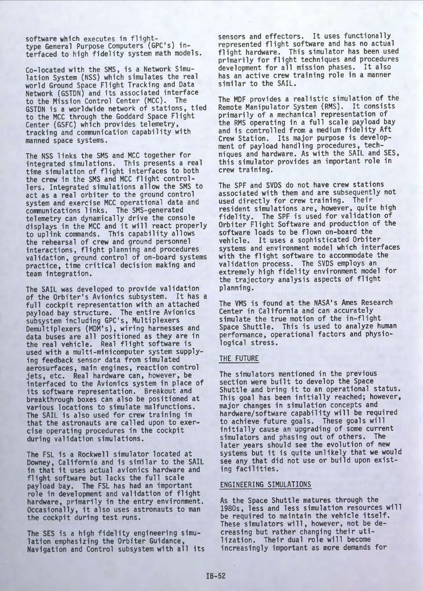software which executes in flight-<br>type General Purpose Computers (GPC's) interfaced to high fidelity system math models.

Co-located with the SMS, is a Network Simu-lation System (NSS) which simulates the real world Ground Space Flight Tracking and Data Network (GSTDN) and its associated interface to the Mission Control Center (MCC). The GSTDN is a worldwide network of stations, tied to the MCC through the Goddard Space Flight Center (GSFC) which provides telemetry, tracking and communication capability with manned space systems.

The NSS links the SMS and MCC together for integrated simulations. This presents a real time simulation of flight interfaces to both the crew in the SMS and MCC flight control lers. Integrated simulations allow the SMS to act as a real orbiter to the ground control<br>system and exercise MCC operational data and communications links. The SMS-generated telemetry can dynamically drive the console displays in the MCC and it will react properly to uplink commands. This capability allows the rehearsal of crew and ground personnel interactions, flight planning and procedures validation, ground control of on-board systems practice, time critical decision making and team integration.

The SAIL was developed to provide validation of the Orbiter's Avionics subsystem. It has a full cockpit representation with an attached payload bay structure. The entire Avionics subsystem including GPC's, Multiplexers Demultiplexers (MDM's), wiring harnesses and data buses are all positioned as they are in the real vehicle. Real flight software is used with a multi-minicomputer system supplying feedback sensor data from simulated aerosurfaces, main engines, reaction control jets, etc. Real hardware can, however, be interfaced to the Avionics system in place of its software representation. Breakout and breakthrough boxes can also be positioned at various locations to simulate malfunctions. The SAIL is also used for crew training in that the astronauts are called upon to exer cise operating procedures in the cockpit during validation simulations.

The FSL is a Rockwell simulator located at Downey, California and is similar to the SAIL in that it uses actual avionics hardware and flight software but lacks the full scale payload bay. The FSL has had an important role in development and validation of flight hardware, primarily in the entry environment. Occasionally, it also uses astronauts to man the cockpit during test runs.

The SES is a high fidelity engineering simulation emphasizing the Orbiter Guidance, Navigation and Control subsystem with all its sensors and effectors. It uses functionally represented flight software and has no actual flight hardware. This simulator has been used primarily for flight techniques and procedures development for all mission phases. It also has an active crew training role in a manner similar to the SAIL.

The MDF provides a realistic simulation of the Remote Manipulator System (RMS). It consists primarily of a mechanical representation of the RMS operating in a full scale payload bay and is controlled from a medium fidelity Aft Crew Station. Its major purpose is develop ment of payload handling procedures, tech niques and hardware. As with the SAIL and SES, this simulator provides an important role in crew training.

The SPF and SVDS do not have crew stations associated with them and are subsequently not<br>used directly for crew training. Their used directly for crew training. Their<br>resident simulations are, however, quite high<br>fidelity. The SPF is used for validation of Orbiter Flight Software and production of the software loads to be flown on-board the vehicle. It uses a sophisticated Orbiter systems and environment model which interfaces with the flight software to accommodate the validation process. The SVDS employs an extremely high fidelity environment model for the trajectory analysis aspects of flight planning.

The VMS is found at the NASA's Ames Research Center in California and can accurately simulate the true motion of the in-flight Space Shuttle. This is used to analyze human performance, operational factors and physiological stress.

#### THE FUTURE

The simulators mentioned in the previous section were built to develop the Space Shuttle and bring it to an operational status. This goal has been initially reached; however,<br>major changes in simulation concepts and hardware/software capability will be required to achieve future goals. These goals will initially cause an upgrading of some current simulators and phasing out of others. The later years should see the evolution of new systems but it is quite unlikely that we would see any that did not use or build upon exist ing facilities.

#### ENGINEERING SIMULATIONS

As the Space Shuttle matures through the 1980s, less and less simulation resources will be required to maintain the vehicle itself. These simulators will, however, not be de creasing but rather changing their uti lization. Their dual role will become increasingly important as more demands for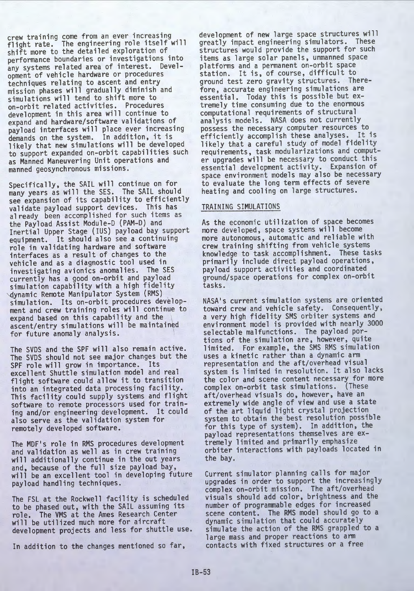crew training come from an ever increasing<br>flight rate. The engineering role itself will<br>shift more to the detailed exploration of shift more to the detailed exploration of<br>performance boundaries or investigations into any systems related area of interest. Devel opment of vehicle hardware or procedures techniques relating to ascent and entry mission phases will gradually diminish and simulations will tend to shift more to on-orbit related activities. Procedures development in this area will continue to expand and hardware/software validations of payload interfaces will place ever increasing demands on the system. In addition, it is<br>likely that new simulations will be developed to support expanded on-orbit capabilities such as Manned Maneuvering Unit operations and manned geosynchronous missions.

Specifically, the SAIL will continue on for many years as will the SES. The SAIL should see expansion of its capability to efficiently validate payload support devices. This has already been accomplished for such items as the Payload Assist Module-D (PAM-D) and Inertial Upper Stage (IUS) payload bay support equipment. It should also see a continuing role in validating hardware and software interfaces as a result of changes to the vehicle and as a diagnostic tool used in investigating avionics anomalies. The SES simulation capability with a high fidelity<br>\dynamic Remote Manipulator System (RMS) simulation. Its on-orbit procedures development and crew training roles will continue to<br>expand based on this capability and the ascent/entry simulations will be maintained for future anomaly analysis.

The SVDS and the SPF will also remain active. The SVDS should not see major changes but the SPF role will grow in importance. Its excellent Shuttle simulation model and real flight software could allow it to transition into an integrated data processing facility. This facility could supply systems and flight software to remote processors used for train ing and/or engineering development. It could also serve as the validation system for remotely developed software.

The MDF's role in RMS procedures development and validation as well as in crew training will additionally continue in the out years and, because of the full size payload bay, will be an excellent tool in developing future payload handling techniques.

The FSL at the Rockwell facility is scheduled to be phased out, with the SAIL assuming its role. The VMS at the Ames Research Center<br>will be utilized much more for aircraft development projects and less for shuttle use.

In addition to the changes mentioned so far,

development of new large space structures will greatly impact engineering simulators. These structures would provide the support for such items as large solar panels, unmanned space station. It is, of course, difficult to ground test zero gravity structures. There fore, accurate engineering simulations are essential. Today this is possible but ex tremely time consuming due to the enormous<br>computational requirements of structural analysis models. NASA does not currently<br>possess the necessary computer resources to efficiently accomplish these analyses. It is likely that a careful study of model fidelity requirements, task modularizations and comput-<br>er upgrades will be necessary to conduct this essential development activity. Expansion of space environment models may also be necessary to evaluate the long term effects of severe heating and cooling on large structures.

## TRAINING SIMULATIONS

As the economic utilization of space becomes more developed, space systems will become more autonomous, automatic and reliable with crew training shifting from vehicle systems knowledge to task accomplishment. These tasks primarily include direct payload operations,<br>payload support activities and coordinated ground/space operations for complex on-orbit tasks.

NASA's current simulation systems are oriented toward crew and vehicle safety. Consequently, a very high fidelity SMS orbiter systems and environment model is provided with nearly 3000 selectable malfunctions. The payload por tions of the simulation are, however, quite limited. For example, the SMS RMS simulation uses a kinetic rather than a dynamic arm representation and the aft/overhead visual system is limited in resolution. It also lacks the color and scene content necessary for more complex on-orbit task simulations. (These aft/overhead visuals do, however, have an extremely wide angle of view and use a state of the art liquid light crystal projection system to obtain the best resolution possible for this type of system). In addition, the payload representations themselves are ex tremely limited and primarily emphasize orbiter interactions with payloads located in the bay.

Current simulator planning calls for major upgrades in order to support the increasingly complex on-orbit mission. The aft/overhead visuals should add color, brightness and the number of programmable edges for increased scene content. The RMS model should go to a dynamic simulation that could accurately simulate the action of the RMS grappled to a large mass and proper reactions to arm contacts with fixed structures or a free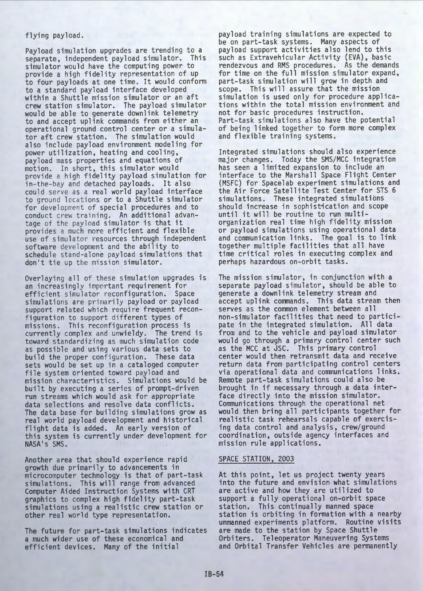# flying payload.

Payload simulation upgrades are trending to a separate, independent payload simulator. This simulator would have the computing power to<br>provide a high fidelity representation of up to four payloads at one time. It would conform to a standard payload interface developed within a Shuttle mission simulator or an aft crew station simulator. The payload simulator would be able to generate downlink telemetry to and accept uplink commands from either an operational ground control center or a simula tor aft crew station. The simulation would also include payload environment modeling for power utilization, heating and cooling, payload mass properties and equations of motion. In short, this simulator would provide a high fidelity payload simulation for in-the-bay and detached payloads. It also could serve as a real world payload interface to ground locations or to a Shuttle simulator for development of special procedures and to conduct crew training. An additional advan tage of the payload simulator is that it provides a much more efficient and flexible use of simulator resources through independent software development and the ability to schedule stand-alone payload simulations that don't tie up the mission simulator.

Overlaying all of these simulation upgrades is an increasingly important requirement for efficient simulator reconfiguration. Space simulations are primarily payload or payload support related which require frequent reconfiguration to support different types of missions. This reconfiguration process is currently complex and unwieldy. The trend is toward standardizing as much simulation code as possible and using various data sets to build the proper configuration. These data sets would be set up in a cataloged computer file system oriented toward payload and mission characteristics. Simulations would be built by executing a series of prompt-driven run streams which would ask for appropriate data selections and resolve data conflicts. The data base for building simulations grow as real world payload development and historical flight data is added. An early version of this system is currently under development for NASA's SMS.

Another area that should experience rapid growth due primarily to advancements in microcomputer technology is that of part-task simulations. This will range from advanced Computer Aided Instruction Systems with CRT graphics to complex high fidelity part-task simulations using a realistic crew station or other real world type representation.

The future for part-task simulations indicates a much wider use of these economical and efficient devices. Many of the initial

payload training simulations are expected to be on part-task systems. Many aspects of payload support activities also lend to this such as Extravehicular Activity (EVA), basic rendezvous and RMS procedures. As the demands for time on the full mission simulator expand, part-task simulation will grow in depth and scope. This will assure that the mission simulation is used only for procedure applica tions within the total mission environment and not for basic procedures instruction. Part-task simulations also have the potential of being linked together to form more complex and flexible training systems.

Integrated simulations should also experience major changes. Today the SMS/MCC integration has seen a limited expansion to include an interface to the Marshall Space Flight Center (MSFC) for Spacelab experiment simulations and the Air Force Satellite Test Center for STS 6 simulations. These integrated simulations should increase in sophistication and scope until it will be routine to run multi organization real time high fidelity mission or payload simulations using operational data and communication links. The goal is to link together multiple facilities that all have time critical roles in executing complex and perhaps hazardous on-orbit tasks.

The mission simulator, in conjunction with a separate payload simulator, should be able to generate a downlink telemetry stream and<br>accept uplink commands. This data stream then serves as the common element between all non-simulator facilities that need to participate in the integrated simulation. All data from and to the vehicle and payload simulator would go through a primary control center such as the MCC at JSC. This primary control center would then retransmit data and receive return data from participating control centers via operational data and communications links. Remote part-task simulations could also be brought in if necessary through a data inter face directly into the mission simulator. Communications through the operational net would then bring all participants together for realistic task rehearsals capable of exercis ing data control and analysis, crew/ground coordination, outside agency interfaces and mission rule applications.

#### SPACE STATION, 2003

At this point, let us project twenty years into the future and envision what simulations are active and how they are utilized to support a fully operational on-orbit space station. This continually manned space station is orbiting in formation with a nearby unmanned experiments platform. Routine visits are made to the station by Space Shuttle Orbiters. Teleoperator Maneuvering Systems and Orbital Transfer Vehicles are permanently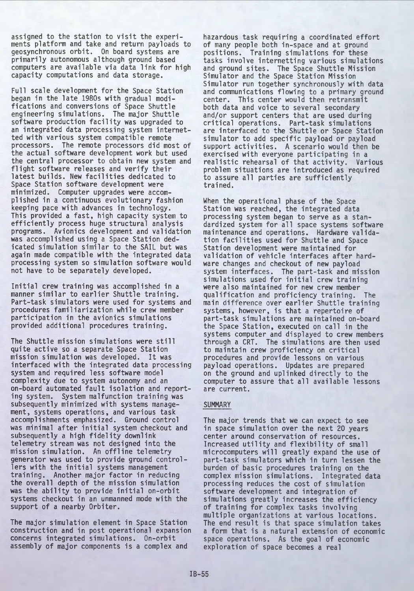assigned to the station to visit the experi ments platform and take and return payloads to geosynchronous orbit. On board systems are primarily autonomous although ground based<br>computers are available via data link for high capacity computations and data storage.

Full scale development for the Space Station began in the late 1980s with gradual modi-<br>fications and conversions of Space Shuttle engineering simulations. The major Shuttle<br>software production facility was upgraded to an integrated data processing system internet-<br>ted with various system compatible remote processors. The remote processors did most of the actual software development work but used the central processor to obtain new system and flight software releases and verify their latest builds. New facilities dedicated to Space Station software development were minimized. Computer upgrades were accom plished in a continuous evolutionary fashion keeping pace with advances in technology. This provided a fast, high capacity system to efficiently process huge structural analysis programs. Avionics development and validation was accomplished using a Space Station ded icated simulation similar to the SAIL but was again made compatible with the integrated data processing system so simulation software would not have to be separately developed.

Initial crew training was accomplished in a manner similar to earlier Shuttle training. Part-task simulators were used for systems and procedures familiarization while crew member provided additional procedures training.

The Shuttle mission simulations were still quite active so a separate Space Station mission simulation was developed. It was interfaced with the integrated data processing system and required less software model complexity due to system autonomy and an on-board automated fault isolation and reporting system. System malfunction training was subsequently minimized with systems manage ment, systems operations, and various task accomplishments emphasized. Ground control was minimal after initial system checkout and subsequently a high fidelity downlink telemetry stream was not designed into the mission simulation. An offline telemetry generator was used to provide ground control lers with the initial systems management training. Another major factor in reducing the overall depth of the mission simulation was the ability to provide initial on-orbit systems checkout in an unmanned mode with the support of a nearby Orbiter.

The major simulation element in Space Station construction and in post operational expansion concerns integrated simulations. On-orbit assembly of major components is a complex and

hazardous task requiring a coordinated effort of many people both in-space and at ground positions. Training simulations for these tasks involve internetting various simulations and ground sites. The Space Shuttle Mission Simulator and the Space Station Mission Simulator run together synchronously with data and communications flowing to a primary ground center. This center would then retransmit both data and voice to several secondary and/or support centers that are used during critical operations. Part-task simulations are interfaced to the Shuttle or Space Station simulator to add specific payload or payload support activities. A scenario would then be exercised with everyone participating in a realistic rehearsal of that activity. Various problem situations are introduced as required to assure all parties are sufficiently trained.

When the operational phase of the Space<br>Station was reached, the integrated data processing system began to serve as a stan maintenance and operations. Hardware validation facilities used for Shuttle and Space Station development were maintained for validation of vehicle interfaces after hard ware changes and checkout of new payload system interfaces. The part-task and mission simulations used for initial crew training were also maintained for new crew member qualification and proficiency training. The main difference over earlier Shuttle training systems, however, is that a repertoire of part-task simulations are maintained on-board the Space Station, executed on call in the systems computer and displayed to crew members through a CRT. The simulations are then used to maintain crew proficiency on critical procedures and provide lessons on various payload operations. Updates are prepared on the ground and uplinked directly to the computer to assure that all available lessons are current.

# **SUMMARY**

The major trends that we can expect to see in space simulation over the next 20 years center around conservation of resources. Increased utility and flexibility of small microcomputers will greatly expand the use of part-task simulators which in turn lessen the burden of basic procedures training on the complex mission simulations. Integrated data processing reduces the cost of simulation software development and integration of simulations greatly increases the efficiency of training for complex tasks involving multiple organizations at various locations. The end result is that space simulation takes a form that is a natural extension of economic space operations. As the goal of economic exploration of space becomes a real